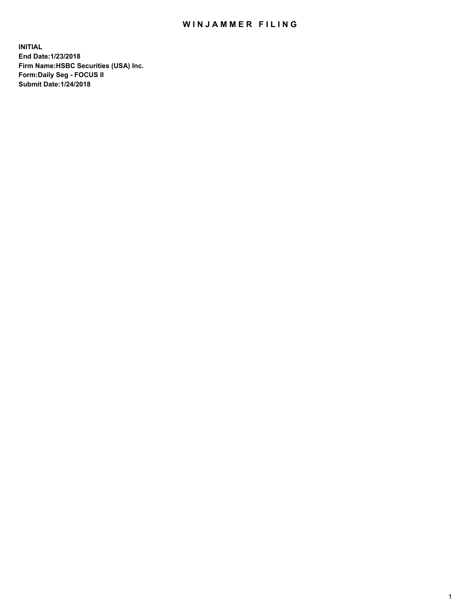## WIN JAMMER FILING

**INITIAL End Date:1/23/2018 Firm Name:HSBC Securities (USA) Inc. Form:Daily Seg - FOCUS II Submit Date:1/24/2018**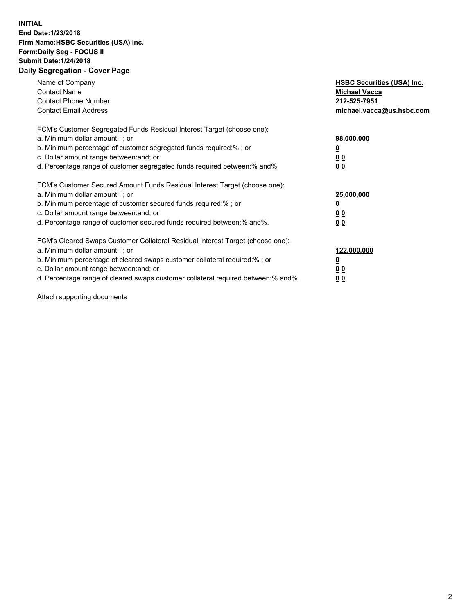## **INITIAL End Date:1/23/2018 Firm Name:HSBC Securities (USA) Inc. Form:Daily Seg - FOCUS II Submit Date:1/24/2018 Daily Segregation - Cover Page**

| Name of Company<br><b>Contact Name</b><br><b>Contact Phone Number</b><br><b>Contact Email Address</b>                                                                                                                                                                                                                         | <b>HSBC Securities (USA) Inc.</b><br><b>Michael Vacca</b><br>212-525-7951<br>michael.vacca@us.hsbc.com |
|-------------------------------------------------------------------------------------------------------------------------------------------------------------------------------------------------------------------------------------------------------------------------------------------------------------------------------|--------------------------------------------------------------------------------------------------------|
| FCM's Customer Segregated Funds Residual Interest Target (choose one):<br>a. Minimum dollar amount: ; or<br>b. Minimum percentage of customer segregated funds required:%; or<br>c. Dollar amount range between: and; or<br>d. Percentage range of customer segregated funds required between: % and %.                       | 98,000,000<br><u>0</u><br><u>00</u><br><u>00</u>                                                       |
| FCM's Customer Secured Amount Funds Residual Interest Target (choose one):<br>a. Minimum dollar amount: ; or<br>b. Minimum percentage of customer secured funds required:%; or<br>c. Dollar amount range between: and; or<br>d. Percentage range of customer secured funds required between: % and %.                         | 25,000,000<br><u>0</u><br><u>00</u><br>00                                                              |
| FCM's Cleared Swaps Customer Collateral Residual Interest Target (choose one):<br>a. Minimum dollar amount: ; or<br>b. Minimum percentage of cleared swaps customer collateral required:%; or<br>c. Dollar amount range between: and; or<br>d. Percentage range of cleared swaps customer collateral required between:% and%. | 122,000,000<br><u>0</u><br><u>00</u><br><u>00</u>                                                      |

Attach supporting documents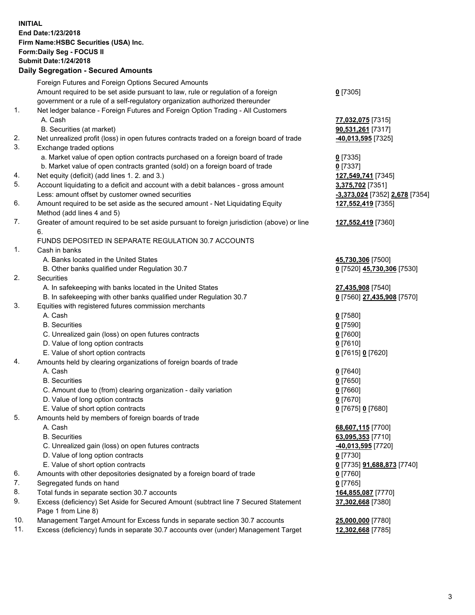**INITIAL End Date:1/23/2018 Firm Name:HSBC Securities (USA) Inc. Form:Daily Seg - FOCUS II Submit Date:1/24/2018 Daily Segregation - Secured Amounts**

Foreign Futures and Foreign Options Secured Amounts Amount required to be set aside pursuant to law, rule or regulation of a foreign government or a rule of a self-regulatory organization authorized thereunder **0** [7305] 1. Net ledger balance - Foreign Futures and Foreign Option Trading - All Customers A. Cash **77,032,075** [7315] B. Securities (at market) **90,531,261** [7317] 2. Net unrealized profit (loss) in open futures contracts traded on a foreign board of trade **-40,013,595** [7325] 3. Exchange traded options a. Market value of open option contracts purchased on a foreign board of trade **0** [7335] b. Market value of open contracts granted (sold) on a foreign board of trade **0** [7337] 4. Net equity (deficit) (add lines 1. 2. and 3.) **127,549,741** [7345] 5. Account liquidating to a deficit and account with a debit balances - gross amount **3,375,702** [7351] Less: amount offset by customer owned securities **-3,373,024** [7352] **2,678** [7354] 6. Amount required to be set aside as the secured amount - Net Liquidating Equity Method (add lines 4 and 5) **127,552,419** [7355] 7. Greater of amount required to be set aside pursuant to foreign jurisdiction (above) or line 6. **127,552,419** [7360] FUNDS DEPOSITED IN SEPARATE REGULATION 30.7 ACCOUNTS 1. Cash in banks A. Banks located in the United States **45,730,306** [7500] B. Other banks qualified under Regulation 30.7 **0** [7520] **45,730,306** [7530] 2. Securities A. In safekeeping with banks located in the United States **27,435,908** [7540] B. In safekeeping with other banks qualified under Regulation 30.7 **0** [7560] **27,435,908** [7570] 3. Equities with registered futures commission merchants A. Cash **0** [7580] B. Securities **0** [7590] C. Unrealized gain (loss) on open futures contracts **0** [7600] D. Value of long option contracts **0** [7610] E. Value of short option contracts **0** [7615] **0** [7620] 4. Amounts held by clearing organizations of foreign boards of trade A. Cash **0** [7640] B. Securities **0** [7650] C. Amount due to (from) clearing organization - daily variation **0** [7660] D. Value of long option contracts **0** [7670] E. Value of short option contracts **0** [7675] **0** [7680] 5. Amounts held by members of foreign boards of trade A. Cash **68,607,115** [7700] B. Securities **63,095,353** [7710] C. Unrealized gain (loss) on open futures contracts **-40,013,595** [7720] D. Value of long option contracts **0** [7730] E. Value of short option contracts **0** [7735] **91,688,873** [7740] 6. Amounts with other depositories designated by a foreign board of trade **0** [7760] 7. Segregated funds on hand **0** [7765] 8. Total funds in separate section 30.7 accounts **164,855,087** [7770] 9. Excess (deficiency) Set Aside for Secured Amount (subtract line 7 Secured Statement Page 1 from Line 8) **37,302,668** [7380] 10. Management Target Amount for Excess funds in separate section 30.7 accounts **25,000,000** [7780] 11. Excess (deficiency) funds in separate 30.7 accounts over (under) Management Target **12,302,668** [7785]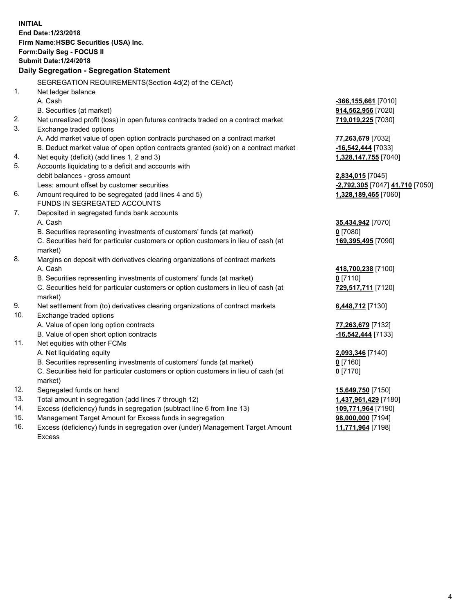**INITIAL End Date:1/23/2018 Firm Name:HSBC Securities (USA) Inc. Form:Daily Seg - FOCUS II Submit Date:1/24/2018 Daily Segregation - Segregation Statement** SEGREGATION REQUIREMENTS(Section 4d(2) of the CEAct) 1. Net ledger balance A. Cash **-366,155,661** [7010] B. Securities (at market) **914,562,956** [7020] 2. Net unrealized profit (loss) in open futures contracts traded on a contract market **719,019,225** [7030] 3. Exchange traded options A. Add market value of open option contracts purchased on a contract market **77,263,679** [7032] B. Deduct market value of open option contracts granted (sold) on a contract market **-16,542,444** [7033] 4. Net equity (deficit) (add lines 1, 2 and 3) **1,328,147,755** [7040] 5. Accounts liquidating to a deficit and accounts with debit balances - gross amount **2,834,015** [7045] Less: amount offset by customer securities **-2,792,305** [7047] **41,710** [7050] 6. Amount required to be segregated (add lines 4 and 5) **1,328,189,465** [7060] FUNDS IN SEGREGATED ACCOUNTS 7. Deposited in segregated funds bank accounts A. Cash **35,434,942** [7070] B. Securities representing investments of customers' funds (at market) **0** [7080] C. Securities held for particular customers or option customers in lieu of cash (at market) **169,395,495** [7090] 8. Margins on deposit with derivatives clearing organizations of contract markets A. Cash **418,700,238** [7100] B. Securities representing investments of customers' funds (at market) **0** [7110] C. Securities held for particular customers or option customers in lieu of cash (at market) **729,517,711** [7120] 9. Net settlement from (to) derivatives clearing organizations of contract markets **6,448,712** [7130] 10. Exchange traded options A. Value of open long option contracts **77,263,679** [7132] B. Value of open short option contracts **-16,542,444** [7133] 11. Net equities with other FCMs A. Net liquidating equity **2,093,346** [7140] B. Securities representing investments of customers' funds (at market) **0** [7160] C. Securities held for particular customers or option customers in lieu of cash (at market) **0** [7170] 12. Segregated funds on hand **15,649,750** [7150] 13. Total amount in segregation (add lines 7 through 12) **1,437,961,429** [7180] 14. Excess (deficiency) funds in segregation (subtract line 6 from line 13) **109,771,964** [7190] 15. Management Target Amount for Excess funds in segregation **98,000,000** [7194]

16. Excess (deficiency) funds in segregation over (under) Management Target Amount Excess

**11,771,964** [7198]